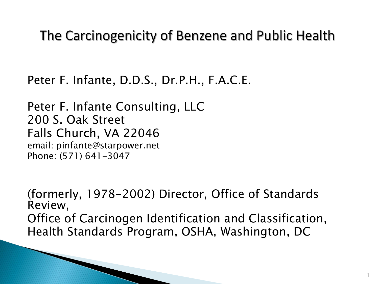# The Carcinogenicity of Benzene and Public Health

Peter F. Infante, D.D.S., Dr.P.H., F.A.C.E.

Peter F. Infante Consulting, LLC 200 S. Oak Street Falls Church, VA 22046 email: pinfante@starpower.net Phone: (571) 641-3047

(formerly, 1978-2002) Director, Office of Standards Review, Office of Carcinogen Identification and Classification, Health Standards Program, OSHA, Washington, DC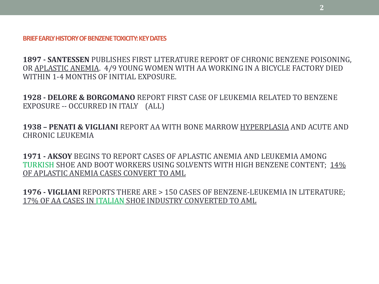#### **BRIEF EARLY HISTORY OF BENZENE TOXICITY: KEY DATES**

**1897 - SANTESSEN** PUBLISHES FIRST LITERATURE REPORT OF CHRONIC BENZENE POISONING, OR APLASTIC ANEMIA. 4/9 YOUNG WOMEN WITH AA WORKING IN A BICYCLE FACTORY DIED WITHIN 1-4 MONTHS OF INITIAL EXPOSURE.

**1928 - DELORE & BORGOMANO** REPORT FIRST CASE OF LEUKEMIA RELATED TO BENZENE EXPOSURE -- OCCURRED IN ITALY (ALL)

**1938 – PENATI & VIGLIANI** REPORT AA WITH BONE MARROW HYPERPLASIA AND ACUTE AND CHRONIC LEUKEMIA

**1971 - AKSOY** BEGINS TO REPORT CASES OF APLASTIC ANEMIA AND LEUKEMIA AMONG TURKISH SHOE AND BOOT WORKERS USING SOLVENTS WITH HIGH BENZENE CONTENT; 14% OF APLASTIC ANEMIA CASES CONVERT TO AML

**1976 - VIGLIANI** REPORTS THERE ARE > 150 CASES OF BENZENE-LEUKEMIA IN LITERATURE; 17% OF AA CASES IN ITALIAN SHOE INDUSTRY CONVERTED TO AML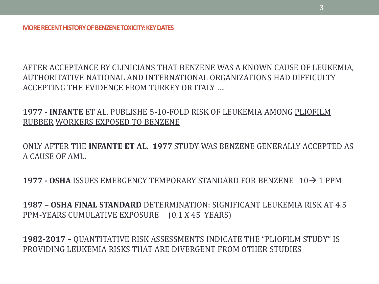AFTER ACCEPTANCE BY CLINICIANS THAT BENZENE WAS A KNOWN CAUSE OF LEUKEMIA, AUTHORITATIVE NATIONAL AND INTERNATIONAL ORGANIZATIONS HAD DIFFICULTY ACCEPTING THE EVIDENCE FROM TURKEY OR ITALY ….

**1977 - INFANTE** ET AL. PUBLISHE 5-10-FOLD RISK OF LEUKEMIA AMONG PLIOFILM RUBBER WORKERS EXPOSED TO BENZENE

ONLY AFTER THE **INFANTE ET AL. 1977** STUDY WAS BENZENE GENERALLY ACCEPTED AS A CAUSE OF AML.

**1977 - OSHA** ISSUES EMERGENCY TEMPORARY STANDARD FOR BENZENE 10→1 PPM

**1987 – OSHA FINAL STANDARD** DETERMINATION: SIGNIFICANT LEUKEMIA RISK AT 4.5 PPM-YEARS CUMULATIVE EXPOSURE (0.1 X 45 YEARS)

**1982-2017 –** QUANTITATIVE RISK ASSESSMENTS INDICATE THE "PLIOFILM STUDY" IS PROVIDING LEUKEMIA RISKS THAT ARE DIVERGENT FROM OTHER STUDIES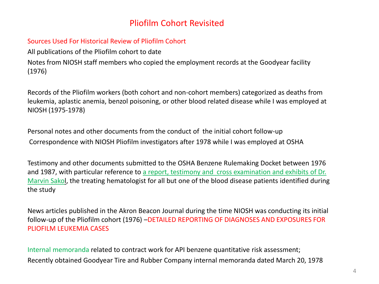## Pliofilm Cohort Revisited

### Sources Used For Historical Review of Pliofilm Cohort

All publications of the Pliofilm cohort to date Notes from NIOSH staff members who copied the employment records at the Goodyear facility (1976)

Records of the Pliofilm workers (both cohort and non-cohort members) categorized as deaths from leukemia, aplastic anemia, benzol poisoning, or other blood related disease while I was employed at NIOSH (1975-1978)

Personal notes and other documents from the conduct of the initial cohort follow-up Correspondence with NIOSH Pliofilm investigators after 1978 while I was employed at OSHA

Testimony and other documents submitted to the OSHA Benzene Rulemaking Docket between 1976 and 1987, with particular reference to a report, testimony and cross examination and exhibits of Dr. Marvin Sakol, the treating hematologist for all but one of the blood disease patients identified during the study

News articles published in the Akron Beacon Journal during the time NIOSH was conducting its initial follow-up of the Pliofilm cohort (1976) –DETAILED REPORTING OF DIAGNOSES AND EXPOSURES FOR PLIOFILM LEUKEMIA CASES

Internal memoranda related to contract work for API benzene quantitative risk assessment; Recently obtained Goodyear Tire and Rubber Company internal memoranda dated March 20, 1978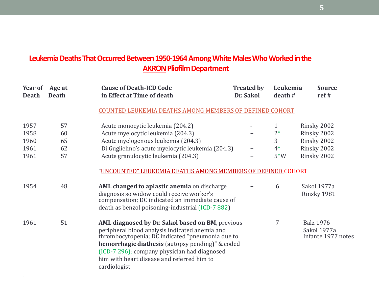## **Leukemia Deaths That Occurred Between 1950-1964 Among White Males Who Worked in the AKRON Pliofilm Department**

| Year of<br><b>Death</b> | Age at<br><b>Death</b> | <b>Cause of Death-ICD Code</b><br>in Effect at Time of death                                                                                                                                                                                                                                                                    | <b>Treated by</b><br>Dr. Sakol | Leukemia<br>death# | <b>Source</b><br>ref#                                 |
|-------------------------|------------------------|---------------------------------------------------------------------------------------------------------------------------------------------------------------------------------------------------------------------------------------------------------------------------------------------------------------------------------|--------------------------------|--------------------|-------------------------------------------------------|
|                         |                        | <b>COUNTED LEUKEMIA DEATHS AMONG MEMBERS OF DEFINED COHORT</b>                                                                                                                                                                                                                                                                  |                                |                    |                                                       |
| 1957                    | 57                     | Acute monocytic leukemia (204.2)                                                                                                                                                                                                                                                                                                |                                | 1                  | Rinsky 2002                                           |
| 1958                    | 60                     | Acute myelocytic leukemia (204.3)                                                                                                                                                                                                                                                                                               | $\pm$                          | $2*$               | Rinsky 2002                                           |
| 1960                    | 65                     | Acute myelogenous leukemia (204.3)                                                                                                                                                                                                                                                                                              | $\pm$                          | 3                  | Rinsky 2002                                           |
| 1961                    | 62                     | Di Guglielmo's acute myelocytic leukemia (204.3)                                                                                                                                                                                                                                                                                | $\pm$                          | $4*$               | Rinsky 2002                                           |
| 1961                    | 57                     | Acute granulocytic leukemia (204.3)                                                                                                                                                                                                                                                                                             | $\ddot{}$                      | $5*W$              | Rinsky 2002                                           |
|                         |                        | "UNCOUNTED" LEUKEMIA DEATHS AMONG MEMBERS OF DEFINED COHORT                                                                                                                                                                                                                                                                     |                                |                    |                                                       |
| 1954                    | 48                     | AML changed to aplastic anemia on discharge<br>diagnosis so widow could receive worker's<br>compensation; DC indicated an immediate cause of<br>death as benzol poisoning-industrial (ICD-7 882)                                                                                                                                | $+$                            | 6                  | Sakol 1977a<br>Rinsky 1981                            |
| 1961                    | 51                     | AML diagnosed by Dr. Sakol based on BM, previous<br>peripheral blood analysis indicated anemia and<br>thrombocytopenia; DC indicated "pneumonia due to<br><b>hemorrhagic diathesis</b> (autopsy pending)" & coded<br>(ICD-7 296); company physician had diagnosed<br>him with heart disease and referred him to<br>cardiologist | $+$                            | 7                  | <b>Balz 1976</b><br>Sakol 1977a<br>Infante 1977 notes |

•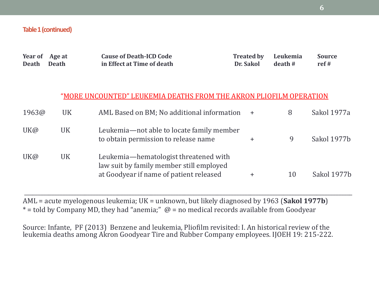### **Table 1 (continued)**

| Year of<br><b>Death</b> | Age at<br><b>Death</b> | <b>Cause of Death-ICD Code</b><br>in Effect at Time of death                                                                 | <b>Treated by</b><br>Dr. Sakol | Leukemia<br>death# | <b>Source</b><br>ref# |
|-------------------------|------------------------|------------------------------------------------------------------------------------------------------------------------------|--------------------------------|--------------------|-----------------------|
|                         |                        | "MORE UNCOUNTED" LEUKEMIA DEATHS FROM THE AKRON PLIOFILM OPERATION                                                           |                                |                    |                       |
| 1963@                   | <b>UK</b>              | AML Based on BM; No additional information                                                                                   | $+$                            | 8                  | Sakol 1977a           |
| UK@                     | <b>UK</b>              | Leukemia—not able to locate family member<br>to obtain permission to release name                                            | $\pm$                          | 9                  | Sakol 1977b           |
| UK@                     | <b>UK</b>              | Leukemia-hematologist threatened with<br>law suit by family member still employed<br>at Goodyear if name of patient released | $\pm$                          | 10                 | Sakol 1977b           |

AML = acute myelogenous leukemia; UK = unknown, but likely diagnosed by 1963 (**Sakol 1977b**)  $*$  = told by Company MD, they had "anemia;"  $@$  = no medical records available from Goodyear

\_\_\_\_\_\_\_\_\_\_\_\_\_\_\_\_\_\_\_\_\_\_\_\_\_\_\_\_\_\_\_\_\_\_\_\_\_\_\_\_\_\_\_\_\_\_\_\_\_\_\_\_\_\_\_\_\_\_\_\_\_\_\_\_\_\_\_\_\_\_\_\_\_\_\_\_\_\_\_\_\_\_\_\_\_\_\_\_\_\_\_\_\_\_\_\_\_\_\_\_\_\_\_\_\_\_\_\_\_\_\_\_\_\_\_\_\_\_\_

Source: Infante, PF (2013) Benzene and leukemia, Pliofilm revisited: I. An historical review of the leukemia deaths among Akron Goodyear Tire and Rubber Company employees. IJOEH 19: 215-222.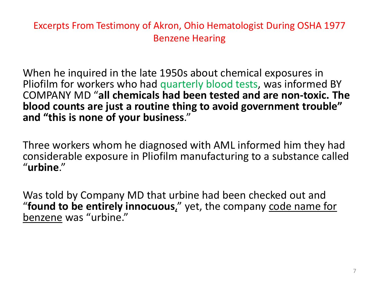Excerpts From Testimony of Akron, Ohio Hematologist During OSHA 1977 Benzene Hearing

When he inquired in the late 1950s about chemical exposures in Pliofilm for workers who had quarterly blood tests, was informed BY COMPANY MD "**all chemicals had been tested and are non-toxic. The blood counts are just a routine thing to avoid government trouble" and "this is none of your business**."

Three workers whom he diagnosed with AML informed him they had considerable exposure in Pliofilm manufacturing to a substance called "**urbine**."

Was told by Company MD that urbine had been checked out and "**found to be entirely innocuous**," yet, the company code name for benzene was "urbine."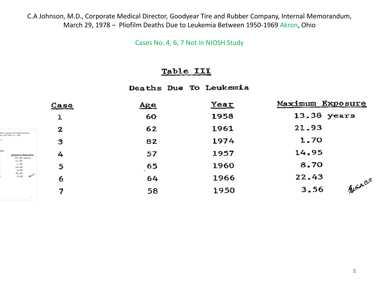C.A Johnson, M.D., Corporate Medical Director, Goodyear Tire and Rubber Company, Internal Memorandum, March 29, 1978 – Pliofilm Deaths Due to Leukemia Between 1950-1969 Akron, Ohio

Cases No. 4, 6, 7 Not in NIOSH Study

### Table III

Deaths Due To Leukemia

|                                           | Case         | Age | Year | Maximum Exposure       |
|-------------------------------------------|--------------|-----|------|------------------------|
|                                           | 1            | 60  | 1958 | 13.38 years            |
| áber Company, Internal Memorandum,        | $\mathbf{z}$ | 62  | 1961 | 21.93                  |
| een 2958-2968 Alaren, Ohio                | 3            | 82  | 1974 | 1.70                   |
| mi.e.<br>Maxdonas Exposure<br>15.58 years | 4            | 57  | 1957 | 14.95                  |
| 21.93<br>1.70<br>14,99<br>8.70            | 5            | 65  | 1960 | 8.70                   |
| 22.43<br><b>Beach</b><br>3,56             | 6            | 64  | 1966 | 22.43                  |
|                                           | 7            | 58  | 1950 | <i>Bearing</i><br>3.56 |
| $\pm 1$                                   |              |     |      |                        |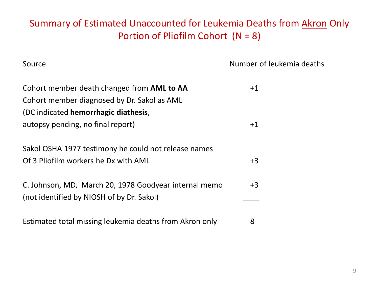# Summary of Estimated Unaccounted for Leukemia Deaths from Akron Only Portion of Pliofilm Cohort (N = 8)

Source **Number of leukemia deaths** 

| Cohort member death changed from AML to AA              | $+1$ |
|---------------------------------------------------------|------|
| Cohort member diagnosed by Dr. Sakol as AML             |      |
| (DC indicated hemorrhagic diathesis,                    |      |
| autopsy pending, no final report)                       | $+1$ |
|                                                         |      |
| Sakol OSHA 1977 testimony he could not release names    |      |
| Of 3 Pliofilm workers he Dx with AML                    | $+3$ |
|                                                         |      |
| C. Johnson, MD, March 20, 1978 Goodyear internal memo   | $+3$ |
| (not identified by NIOSH of by Dr. Sakol)               |      |
|                                                         |      |
| Estimated total missing leukemia deaths from Akron only | 8    |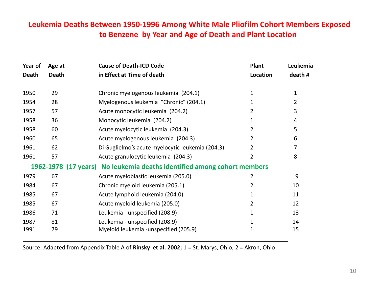## **Leukemia Deaths Between 1950-1996 Among White Male Pliofilm Cohort Members Exposed to Benzene by Year and Age of Death and Plant Location**

| Year of      | Age at       | <b>Cause of Death-ICD Code</b>                                          | <b>Plant</b>   | Leukemia     |
|--------------|--------------|-------------------------------------------------------------------------|----------------|--------------|
| <b>Death</b> | <b>Death</b> | in Effect at Time of death                                              | Location       | death #      |
|              |              |                                                                         |                |              |
| 1950         | 29           | Chronic myelogenous leukemia (204.1)                                    | 1              | $\mathbf{1}$ |
| 1954         | 28           | Myelogenous leukemia "Chronic" (204.1)                                  | 1.             | 2            |
| 1957         | 57           | Acute monocytic leukemia (204.2)                                        | 2              | 3            |
| 1958         | 36           | Monocytic leukemia (204.2)                                              | 1              | 4            |
| 1958         | 60           | Acute myelocytic leukemia (204.3)                                       | 2              | 5            |
| 1960         | 65           | Acute myelogenous leukemia (204.3)                                      | $\overline{2}$ | 6            |
| 1961         | 62           | Di Guglielmo's acute myelocytic leukemia (204.3)                        | 2              | 7            |
| 1961         | 57           | Acute granulocytic leukemia (204.3)                                     | 2              | 8            |
|              |              | 1962-1978 (17 years) No leukemia deaths identified among cohort members |                |              |
| 1979         | 67           | Acute myeloblastic leukemia (205.0)                                     | 2              | 9            |
| 1984         | 67           | Chronic myeloid leukemia (205.1)                                        | 2              | 10           |
| 1985         | 67           | Acute lymphoid leukemia (204.0)                                         | 1              | 11           |
| 1985         | 67           | Acute myeloid leukemia (205.0)                                          | $\overline{2}$ | 12           |
| 1986         | 71           | Leukemia - unspecified (208.9)                                          | 1              | 13           |
| 1987         | 81           | Leukemia - unspecified (208.9)                                          | 1              | 14           |
| 1991         | 79           | Myeloid leukemia - unspecified (205.9)                                  | 1              | 15           |

Source: Adapted from Appendix Table A of **Rinsky et al. 2002;** 1 = St. Marys, Ohio; 2 = Akron, Ohio

\_\_\_\_\_\_\_\_\_\_\_\_\_\_\_\_\_\_\_\_\_\_\_\_\_\_\_\_\_\_\_\_\_\_\_\_\_\_\_\_\_\_\_\_\_\_\_\_\_\_\_\_\_\_\_\_\_\_\_\_\_\_\_\_\_\_\_\_\_\_\_\_\_\_\_\_\_\_\_\_\_\_\_\_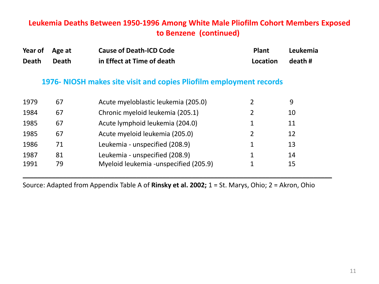## **Leukemia Deaths Between 1950-1996 Among White Male Pliofilm Cohort Members Exposed to Benzene (continued)**

| Year of Age at |       | <b>Cause of Death-ICD Code</b> | <b>Plant</b> | Leukemia |
|----------------|-------|--------------------------------|--------------|----------|
| Death          | Death | in Effect at Time of death     | Location     | death#   |

## **1976- NIOSH makes site visit and copies Pliofilm employment records**

| 1979 | 67 | Acute myeloblastic leukemia (205.0)   | 9  |
|------|----|---------------------------------------|----|
| 1984 | 67 | Chronic myeloid leukemia (205.1)      | 10 |
| 1985 | 67 | Acute lymphoid leukemia (204.0)       | 11 |
| 1985 | 67 | Acute myeloid leukemia (205.0)        | 12 |
| 1986 | 71 | Leukemia - unspecified (208.9)        | 13 |
| 1987 | 81 | Leukemia - unspecified (208.9)        | 14 |
| 1991 | 79 | Myeloid leukemia -unspecified (205.9) | 15 |

Source: Adapted from Appendix Table A of **Rinsky et al. 2002;** 1 = St. Marys, Ohio; 2 = Akron, Ohio

\_\_\_\_\_\_\_\_\_\_\_\_\_\_\_\_\_\_\_\_\_\_\_\_\_\_\_\_\_\_\_\_\_\_\_\_\_\_\_\_\_\_\_\_\_\_\_\_\_\_\_\_\_\_\_\_\_\_\_\_\_\_\_\_\_\_\_\_\_\_\_\_\_\_\_\_\_\_\_\_\_\_\_\_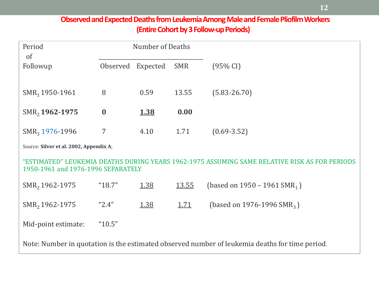## **Observed and Expected Deaths from Leukemia Among Male and Female Pliofilm Workers (Entire Cohort by 3 Follow-up Periods)**

| Period<br><sub>of</sub>                 |                  | <b>Number of Deaths</b> |             |                                                                                                |  |  |
|-----------------------------------------|------------------|-------------------------|-------------|------------------------------------------------------------------------------------------------|--|--|
| Followup                                | Observed         | Expected                | <b>SMR</b>  | $(95\% \text{ CI})$                                                                            |  |  |
| $SMR1$ 1950-1961                        | 8                | 0.59                    | 13.55       | $(5.83 - 26.70)$                                                                               |  |  |
| SMR <sub>2</sub> 1962-1975              | $\boldsymbol{0}$ | 1.38                    | 0.00        |                                                                                                |  |  |
| $SMR3$ 1976-1996                        | 7                | 4.10                    | 1.71        | $(0.69 - 3.52)$                                                                                |  |  |
| Source: Silver et al. 2002, Appendix A; |                  |                         |             |                                                                                                |  |  |
| 1950-1961 and 1976-1996 SEPARATELY      |                  |                         |             | "ESTIMATED" LEUKEMIA DEATHS DURING YEARS 1962-1975 ASSUMING SAME RELATIVE RISK AS FOR PERIODS  |  |  |
| SMR <sub>2</sub> 1962-1975              | "18.7"           | 1.38                    | 13.55       | (based on 1950 – 1961 SMR <sub>1</sub> )                                                       |  |  |
| SMR <sub>2</sub> 1962-1975              | "2.4"            | 1.38                    | <u>1.71</u> | (based on 1976-1996 SMR <sub>3</sub> )                                                         |  |  |
| Mid-point estimate:                     | "10.5"           |                         |             |                                                                                                |  |  |
|                                         |                  |                         |             | Note: Number in quotation is the estimated observed number of leukemia deaths for time period. |  |  |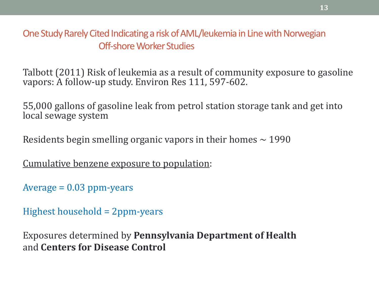One Study Rarely Cited Indicating a risk of AML/leukemia in Line with Norwegian Off-shore Worker Studies

Talbott (2011) Risk of leukemia as a result of community exposure to gasoline vapors: A follow-up study. Environ Res 111, 597-602.

55,000 gallons of gasoline leak from petrol station storage tank and get into local sewage system

Residents begin smelling organic vapors in their homes  $\sim$  1990

Cumulative benzene exposure to population:

 $Average = 0.03$  ppm-years

Highest household = 2ppm-years

Exposures determined by **Pennsylvania Department of Health**  and **Centers for Disease Control**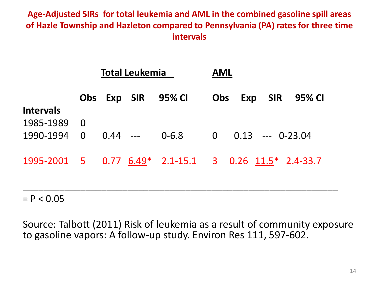## **Age-Adjusted SIRs for total leukemia and AML in the combined gasoline spill areas of Hazle Township and Hazleton compared to Pennsylvania (PA) rates for three time intervals**

|                        | <b>Total Leukemia</b>                              |            |  |                    | <b>AML</b>                                            |  |  |
|------------------------|----------------------------------------------------|------------|--|--------------------|-------------------------------------------------------|--|--|
| <b>Intervals</b>       |                                                    |            |  | Obs Exp SIR 95% CI | <b>SIR</b><br>Obs<br>Exp<br>95% CI                    |  |  |
| 1985-1989<br>1990-1994 | $\overline{\mathbf{0}}$<br>$\overline{\mathbf{0}}$ | $0.44$ --- |  | 0-6.8              | $\overline{0}$<br>$0.13$ --- 0-23.04                  |  |  |
|                        |                                                    |            |  |                    | 1995-2001 5 0.77 6.49* 2.1-15.1 3 0.26 11.5* 2.4-33.7 |  |  |

 $= P < 0.05$ 

Source: Talbott (2011) Risk of leukemia as a result of community exposure to gasoline vapors: A follow-up study. Environ Res 111, 597-602.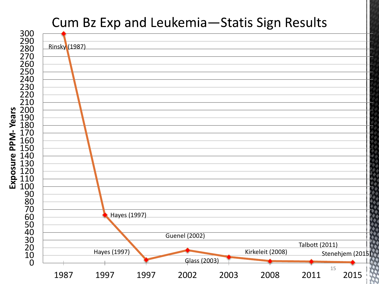# Cum Bz Exp and Leukemia-Statis Sign Results



PPM-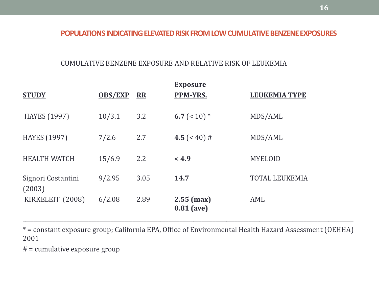### **POPULATIONS INDICATING ELEVATED RISK FROM LOW CUMULATIVE BENZENE EXPOSURES**

### CUMULATIVE BENZENE EXPOSURE AND RELATIVE RISK OF LEUKEMIA

| <b>STUDY</b>                 | <b>OBS/EXP</b> | <b>RR</b> | <b>Exposure</b><br><b>PPM-YRS.</b> | <b>LEUKEMIA TYPE</b>  |
|------------------------------|----------------|-----------|------------------------------------|-----------------------|
| <b>HAYES</b> (1997)          | 10/3.1         | 3.2       | 6.7 ( $< 10$ ) $*$                 | MDS/AML               |
| <b>HAYES</b> (1997)          | 7/2.6          | 2.7       | 4.5 $(40) #$                       | MDS/AML               |
| <b>HEALTH WATCH</b>          | 15/6.9         | 2.2       | < 4.9                              | <b>MYELOID</b>        |
| Signori Costantini<br>(2003) | 9/2.95         | 3.05      | 14.7                               | <b>TOTAL LEUKEMIA</b> |
| KIRKELEIT (2008)             | 6/2.08         | 2.89      | $2.55$ (max)<br>$0.81$ (ave)       | AML                   |

\* = constant exposure group; California EPA, Office of Environmental Health Hazard Assessment (OEHHA) 2001

\_\_\_\_\_\_\_\_\_\_\_\_\_\_\_\_\_\_\_\_\_\_\_\_\_\_\_\_\_\_\_\_\_\_\_\_\_\_\_\_\_\_\_\_\_\_\_\_\_\_\_\_\_\_\_\_\_\_\_\_\_\_\_\_\_\_\_\_\_\_\_\_\_\_\_\_\_\_\_\_\_\_\_\_\_\_\_\_\_\_\_\_\_\_\_\_\_\_\_\_\_\_\_\_\_\_\_\_\_\_\_\_\_\_\_\_\_\_\_\_

# = cumulative exposure group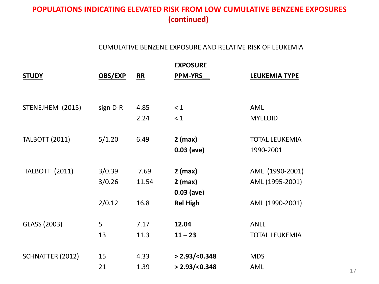## **POPULATIONS INDICATING ELEVATED RISK FROM LOW CUMULATIVE BENZENE EXPOSURES (continued)**

### CUMULATIVE BENZENE EXPOSURE AND RELATIVE RISK OF LEUKEMIA

|                       |          |       | <b>EXPOSURE</b>  |                       |    |
|-----------------------|----------|-------|------------------|-----------------------|----|
| <b>STUDY</b>          | OBS/EXP  | R     | <b>PPM-YRS</b>   | <b>LEUKEMIA TYPE</b>  |    |
|                       |          |       |                  |                       |    |
|                       |          |       |                  |                       |    |
| STENEJHEM (2015)      | sign D-R | 4.85  | $\leq 1$         | <b>AML</b>            |    |
|                       |          | 2.24  | < 1              | <b>MYELOID</b>        |    |
|                       |          |       |                  |                       |    |
| <b>TALBOTT (2011)</b> | 5/1.20   | 6.49  | $2$ (max)        | <b>TOTAL LEUKEMIA</b> |    |
|                       |          |       | $0.03$ (ave)     | 1990-2001             |    |
|                       |          |       |                  |                       |    |
| <b>TALBOTT (2011)</b> | 3/0.39   | 7.69  | $2$ (max)        | AML (1990-2001)       |    |
|                       | 3/0.26   | 11.54 | $2$ (max)        | AML (1995-2001)       |    |
|                       |          |       | $0.03$ (ave)     |                       |    |
|                       | 2/0.12   | 16.8  | <b>Rel High</b>  | AML (1990-2001)       |    |
|                       |          |       |                  |                       |    |
| GLASS (2003)          | 5        | 7.17  | 12.04            | <b>ANLL</b>           |    |
|                       | 13       | 11.3  | $11 - 23$        | <b>TOTAL LEUKEMIA</b> |    |
|                       |          |       |                  |                       |    |
| SCHNATTER (2012)      | 15       | 4.33  | > 2.93 / < 0.348 | <b>MDS</b>            |    |
|                       | 21       | 1.39  | > 2.93 / < 0.348 | AML                   | 17 |
|                       |          |       |                  |                       |    |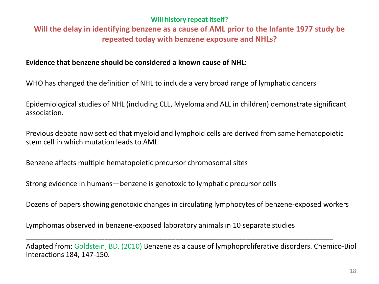### **Will history repeat itself?**

## **Will the delay in identifying benzene as a cause of AML prior to the Infante 1977 study be repeated today with benzene exposure and NHLs?**

### **Evidence that benzene should be considered a known cause of NHL:**

WHO has changed the definition of NHL to include a very broad range of lymphatic cancers

Epidemiological studies of NHL (including CLL, Myeloma and ALL in children) demonstrate significant association.

Previous debate now settled that myeloid and lymphoid cells are derived from same hematopoietic stem cell in which mutation leads to AML

Benzene affects multiple hematopoietic precursor chromosomal sites

Strong evidence in humans—benzene is genotoxic to lymphatic precursor cells

Dozens of papers showing genotoxic changes in circulating lymphocytes of benzene-exposed workers

\_\_\_\_\_\_\_\_\_\_\_\_\_\_\_\_\_\_\_\_\_\_\_\_\_\_\_\_\_\_\_\_\_\_\_\_\_\_\_\_\_\_\_\_\_\_\_\_\_\_\_\_\_\_\_\_\_\_\_\_\_\_\_\_\_\_\_\_\_\_\_\_\_\_\_\_\_\_

Lymphomas observed in benzene-exposed laboratory animals in 10 separate studies

Adapted from: Goldstein, BD. (2010) Benzene as a cause of lymphoproliferative disorders. Chemico-Biol Interactions 184, 147-150.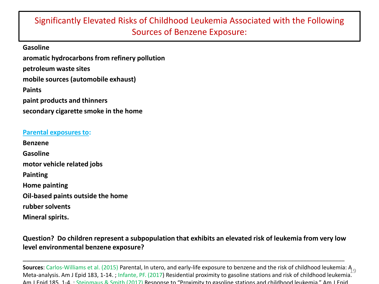## Significantly Elevated Risks of Childhood Leukemia Associated with the Following Sources of Benzene Exposure:

**Gasoline aromatic hydrocarbons from refinery pollution petroleum waste sites mobile sources (automobile exhaust) Paints paint products and thinners secondary cigarette smoke in the home**

#### **Parental exposures to:**

**Benzene Gasoline motor vehicle related jobs Painting Home painting**

**Oil-based paints outside the home** 

**rubber solvents**

**Mineral spirits.** 

### **Question? Do children represent a subpopulation that exhibits an elevated risk of leukemia from very low level environmental benzene exposure?**

\_\_\_\_\_\_\_\_\_\_\_\_\_\_\_\_\_\_\_\_\_\_\_\_\_\_\_\_\_\_\_\_\_\_\_\_\_\_\_\_\_\_\_\_\_\_\_\_\_\_\_\_\_\_\_\_\_\_\_\_\_\_\_\_\_\_\_\_\_\_\_\_\_\_\_\_\_\_\_\_\_\_\_\_\_\_\_\_\_\_\_\_\_\_\_\_\_\_

**Sources**: Carlos-Williams et al. (2015) Parental, In utero, and early-life exposure to benzene and the risk of childhood leukemia: A 9<br>Mete explicie, Am J Frid 192, 1, 14, J lafanta, BE (2017) Pesidential assumitu to gece Meta-analysis. Am J Epid 183, 1-14. ; Infante, PF. (2017) Residential proximity to gasoline stations and risk of childhood leukemia. Am J Epid 185, 1-4. ; Steinmaus & Smith (2017) Response to "Proximity to gasoline stations and childhood leukemia." Am J Epid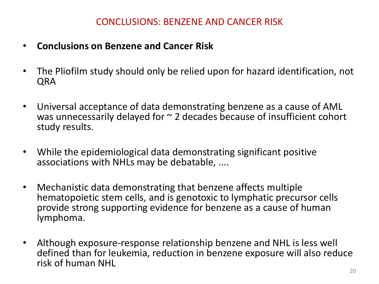- **Conclusions on Benzene and Cancer Risk**
- The Pliofilm study should only be relied upon for hazard identification, not QRA
- Universal acceptance of data demonstrating benzene as a cause of AML was unnecessarily delayed for  $\sim$  2 decades because of insufficient cohort study results.
- While the epidemiological data demonstrating significant positive associations with NHLs may be debatable, ....
- Mechanistic data demonstrating that benzene affects multiple hematopoietic stem cells, and is genotoxic to lymphatic precursor cells provide strong supporting evidence for benzene as a cause of human lymphoma.
- Although exposure-response relationship benzene and NHL is less well defined than for leukemia, reduction in benzene exposure will also reduce risk of human NHL